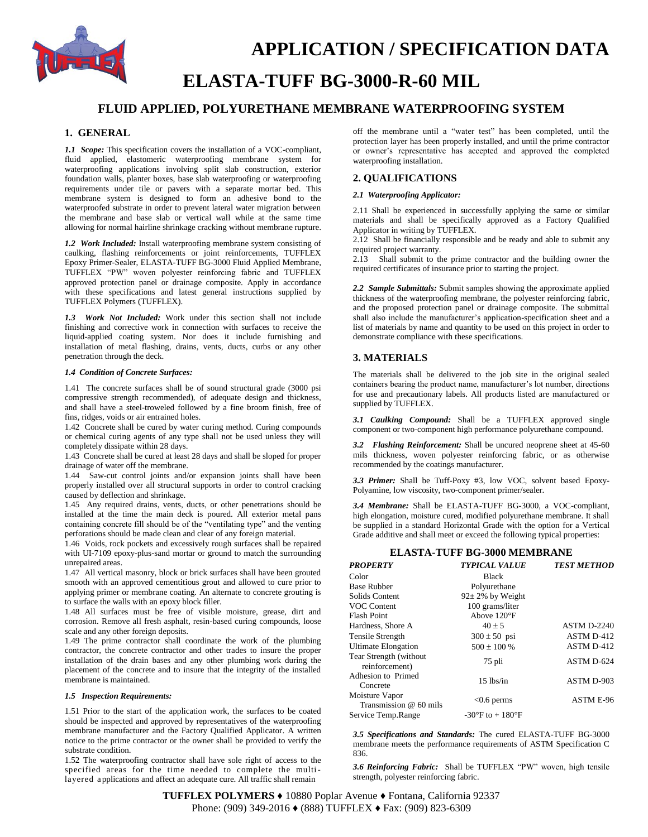

# **APPLICATION / SPECIFICATION DATA**

## **ELASTA-TUFF BG-3000-R-60 MIL**

### **FLUID APPLIED, POLYURETHANE MEMBRANE WATERPROOFING SYSTEM**

#### **1. GENERAL**

*1.1 Scope:* This specification covers the installation of a VOC-compliant, fluid applied, elastomeric waterproofing membrane system for waterproofing applications involving split slab construction, exterior foundation walls, planter boxes, base slab waterproofing or waterproofing requirements under tile or pavers with a separate mortar bed. This membrane system is designed to form an adhesive bond to the waterproofed substrate in order to prevent lateral water migration between the membrane and base slab or vertical wall while at the same time allowing for normal hairline shrinkage cracking without membrane rupture.

*1.2 Work Included:* Install waterproofing membrane system consisting of caulking, flashing reinforcements or joint reinforcements, TUFFLEX Epoxy Primer-Sealer, ELASTA-TUFF BG-3000 Fluid Applied Membrane, TUFFLEX "PW" woven polyester reinforcing fabric and TUFFLEX approved protection panel or drainage composite. Apply in accordance with these specifications and latest general instructions supplied by TUFFLEX Polymers (TUFFLEX).

*1.3 Work Not Included:* Work under this section shall not include finishing and corrective work in connection with surfaces to receive the liquid-applied coating system. Nor does it include furnishing and installation of metal flashing, drains, vents, ducts, curbs or any other penetration through the deck.

#### *1.4 Condition of Concrete Surfaces:*

1.41 The concrete surfaces shall be of sound structural grade (3000 psi compressive strength recommended), of adequate design and thickness, and shall have a steel-troweled followed by a fine broom finish, free of fins, ridges, voids or air entrained holes.

1.42 Concrete shall be cured by water curing method. Curing compounds or chemical curing agents of any type shall not be used unless they will completely dissipate within 28 days.

1.43 Concrete shall be cured at least 28 days and shall be sloped for proper drainage of water off the membrane.

1.44 Saw-cut control joints and/or expansion joints shall have been properly installed over all structural supports in order to control cracking caused by deflection and shrinkage.

1.45 Any required drains, vents, ducts, or other penetrations should be installed at the time the main deck is poured. All exterior metal pans containing concrete fill should be of the "ventilating type" and the venting perforations should be made clean and clear of any foreign material.

1.46 Voids, rock pockets and excessively rough surfaces shall be repaired with UI-7109 epoxy-plus-sand mortar or ground to match the surrounding unrepaired areas.

1.47 All vertical masonry, block or brick surfaces shall have been grouted smooth with an approved cementitious grout and allowed to cure prior to applying primer or membrane coating. An alternate to concrete grouting is to surface the walls with an epoxy block filler.

1.48 All surfaces must be free of visible moisture, grease, dirt and corrosion. Remove all fresh asphalt, resin-based curing compounds, loose scale and any other foreign deposits.

1.49 The prime contractor shall coordinate the work of the plumbing contractor, the concrete contractor and other trades to insure the proper installation of the drain bases and any other plumbing work during the placement of the concrete and to insure that the integrity of the installed membrane is maintained.

#### *1.5 Inspection Requirements:*

1.51 Prior to the start of the application work, the surfaces to be coated should be inspected and approved by representatives of the waterproofing membrane manufacturer and the Factory Qualified Applicator. A written notice to the prime contractor or the owner shall be provided to verify the substrate condition.

1.52 The waterproofing contractor shall have sole right of access to the specified areas for the time needed to complete the multilayered applications and affect an adequate cure. All traffic shall remain

off the membrane until a "water test" has been completed, until the protection layer has been properly installed, and until the prime contractor or owner's representative has accepted and approved the completed waterproofing installation.

#### **2. QUALIFICATIONS**

#### *2.1 Waterproofing Applicator:*

2.11 Shall be experienced in successfully applying the same or similar materials and shall be specifically approved as a Factory Qualified Applicator in writing by TUFFLEX.

2.12 Shall be financially responsible and be ready and able to submit any required project warranty.

2.13 Shall submit to the prime contractor and the building owner the required certificates of insurance prior to starting the project.

*2.2 Sample Submittals:* Submit samples showing the approximate applied thickness of the waterproofing membrane, the polyester reinforcing fabric, and the proposed protection panel or drainage composite. The submittal shall also include the manufacturer's application-specification sheet and a list of materials by name and quantity to be used on this project in order to demonstrate compliance with these specifications.

#### **3. MATERIALS**

The materials shall be delivered to the job site in the original sealed containers bearing the product name, manufacturer's lot number, directions for use and precautionary labels. All products listed are manufactured or supplied by TUFFLEX.

*3.1 Caulking Compound:* Shall be a TUFFLEX approved single component or two-component high performance polyurethane compound.

*3.2 Flashing Reinforcement:* Shall be uncured neoprene sheet at 45-60 mils thickness, woven polyester reinforcing fabric, or as otherwise recommended by the coatings manufacturer.

*3.3 Primer:* Shall be Tuff-Poxy #3, low VOC, solvent based Epoxy-Polyamine, low viscosity, two-component primer/sealer.

*3.4 Membrane:* Shall be ELASTA-TUFF BG-3000, a VOC-compliant, high elongation, moisture cured, modified polyurethane membrane. It shall be supplied in a standard Horizontal Grade with the option for a Vertical Grade additive and shall meet or exceed the following typical properties:

#### **ELASTA-TUFF BG-3000 MEMBRANE**

| <b>PROPERTY</b>                           | <b>TYPICAL VALUE</b>                | <b>TEST METHOD</b> |
|-------------------------------------------|-------------------------------------|--------------------|
| Color                                     | <b>Black</b>                        |                    |
| <b>Base Rubber</b>                        | Polyurethane                        |                    |
| Solids Content                            | $92 \pm 2\%$ by Weight              |                    |
| VOC Content                               | 100 grams/liter                     |                    |
| <b>Flash Point</b>                        | Above $120^{\circ}F$                |                    |
| Hardness, Shore A                         | $40 \pm 5$                          | <b>ASTM D-2240</b> |
| Tensile Strength                          | $300 \pm 50$ psi                    | <b>ASTM D-412</b>  |
| <b>Ultimate Elongation</b>                | $500 \pm 100$ %                     | <b>ASTM D-412</b>  |
| Tear Strength (without)<br>reinforcement) | 75 pli                              | ASTM D-624         |
| Adhesion to Primed<br>Concrete            | $15$ lbs/in                         | ASTM D-903         |
| Moisture Vapor<br>Transmission @ 60 mils  | $<$ 0.6 perms                       | <b>ASTM E-96</b>   |
| Service Temp.Range                        | $-30^{\circ}$ F to $+180^{\circ}$ F |                    |

*3.5 Specifications and Standards:* The cured ELASTA-TUFF BG-3000 membrane meets the performance requirements of ASTM Specification C 836.

*3.6 Reinforcing Fabric:* Shall be TUFFLEX "PW" woven, high tensile strength, polyester reinforcing fabric.